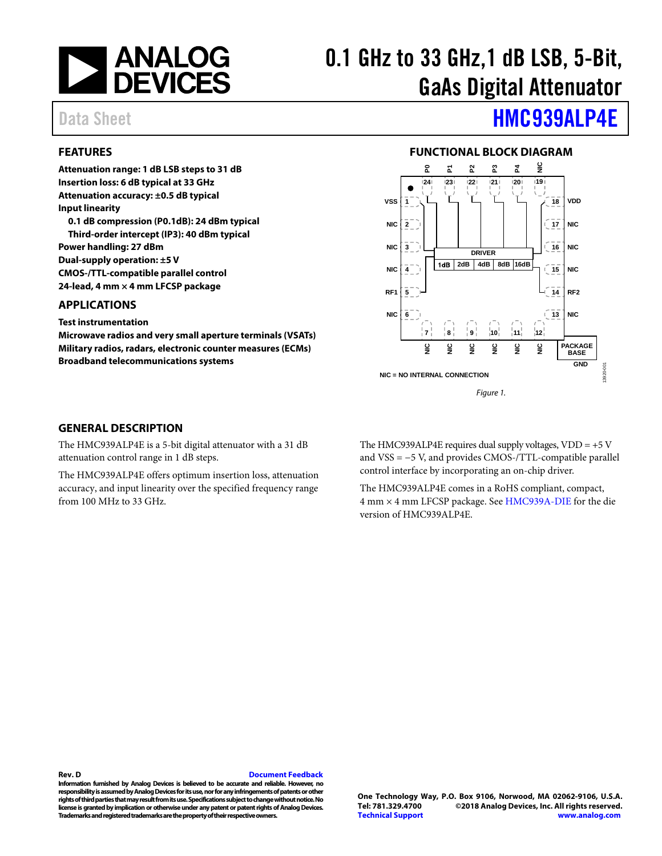

# 0.1 GHz to 33 GHz,1 dB LSB, 5-Bit, GaAs Digital Attenuator

### <span id="page-0-0"></span>**FEATURES**

**Attenuation range: 1 dB LSB steps to 31 dB Insertion loss: 6 dB typical at 33 GHz Attenuation accuracy: ±0.5 dB typical Input linearity 0.1 dB compression (P0.1dB): 24 dBm typical Third-order intercept (IP3): 40 dBm typical Power handling: 27 dBm Dual-supply operation: ±5 V CMOS-/TTL-compatible parallel control 24-lead, 4 mm × 4 mm LFCSP package** 

### <span id="page-0-1"></span>**APPLICATIONS**

**Test instrumentation** 

**Microwave radios and very small aperture terminals (VSATs) Military radios, radars, electronic counter measures (ECMs) Broadband telecommunications systems** 

# Data Sheet **[HMC939ALP4E](http://www.analog.com/HMC939ALP4E?doc=HMC939ALP4E.pdf)**

### **FUNCTIONAL BLOCK DIAGRAM**

<span id="page-0-2"></span>

#### <span id="page-0-3"></span>**GENERAL DESCRIPTION**

The HMC939ALP4E is a 5-bit digital attenuator with a 31 dB attenuation control range in 1 dB steps.

The HMC939ALP4E offers optimum insertion loss, attenuation accuracy, and input linearity over the specified frequency range from 100 MHz to 33 GHz.

The HMC939ALP4E requires dual supply voltages,  $VDD = +5 V$ and VSS = −5 V, and provides CMOS-/TTL-compatible parallel control interface by incorporating an on-chip driver.

The HMC939ALP4E comes in a RoHS compliant, compact, 4 mm × 4 mm LFCSP package. Se[e HMC939A-DIE f](http://www.analog.com/HMC939A-DIE?doc=HMC939ALP4E.pdf)or the die version of HMC939ALP4E.

#### **Rev. D [Document Feedback](https://form.analog.com/Form_Pages/feedback/documentfeedback.aspx?doc=HMC939ALP4E.pdf&product=HMC939ALP4E&rev=D)**

**Information furnished by Analog Devices is believed to be accurate and reliable. However, no responsibility is assumed by Analog Devices for its use, nor for any infringements of patents or other rights of third parties that may result from its use. Specifications subject to change without notice. No license is granted by implication or otherwise under any patent or patent rights of Analog Devices. Trademarks and registered trademarks are the property of their respective owners.**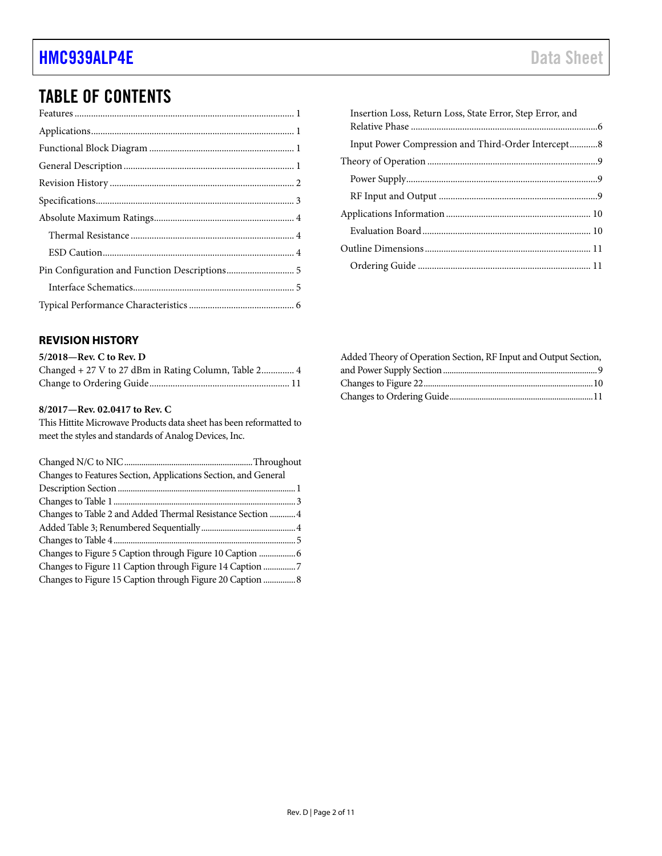## TABLE OF CONTENTS

| Insertion Loss, Return Loss, State Error, Step Error, and |  |
|-----------------------------------------------------------|--|
| Input Power Compression and Third-Order Intercept8        |  |
|                                                           |  |
|                                                           |  |
|                                                           |  |
|                                                           |  |
|                                                           |  |
|                                                           |  |
|                                                           |  |
|                                                           |  |

### <span id="page-1-0"></span>**REVISION HISTORY**

### **5/2018—Rev. C to Rev. D**

| Changed + 27 V to 27 dBm in Rating Column, Table 2 4 |  |
|------------------------------------------------------|--|
|                                                      |  |

#### **8/2017—Rev. 02.0417 to Rev. C**

This Hittite Microwave Products data sheet has been reformatted to meet the styles and standards of Analog Devices, Inc.

| Changes to Features Section, Applications Section, and General |  |
|----------------------------------------------------------------|--|
|                                                                |  |
|                                                                |  |
| Changes to Table 2 and Added Thermal Resistance Section  4     |  |
|                                                                |  |
|                                                                |  |
| Changes to Figure 5 Caption through Figure 10 Caption  6       |  |
| Changes to Figure 11 Caption through Figure 14 Caption 7       |  |
| Changes to Figure 15 Caption through Figure 20 Caption  8      |  |
|                                                                |  |

| Added Theory of Operation Section, RF Input and Output Section, |  |
|-----------------------------------------------------------------|--|
|                                                                 |  |
|                                                                 |  |
|                                                                 |  |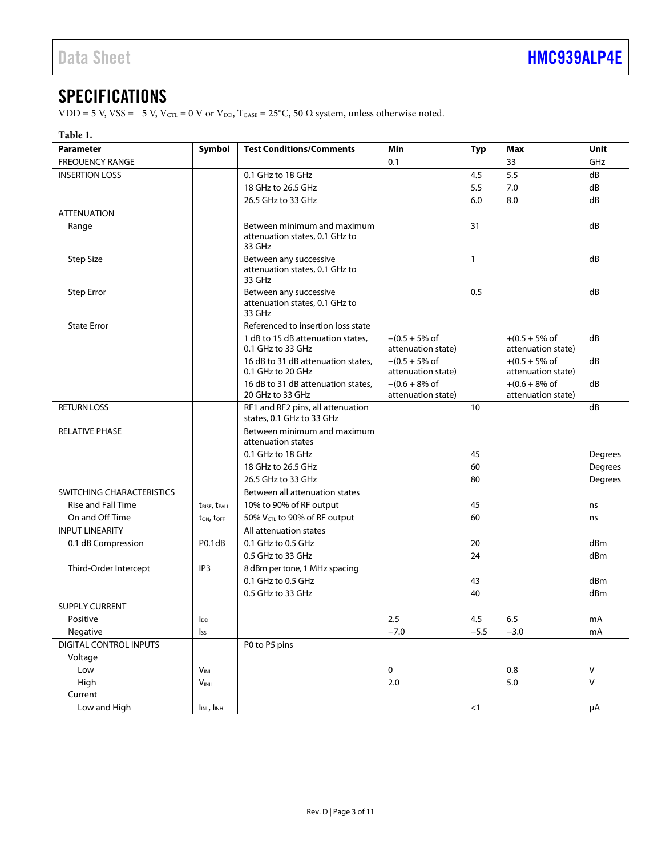### <span id="page-2-0"></span>**SPECIFICATIONS**

VDD = 5 V, VSS = −5 V, V $_{\rm CTL}$  = 0 V or V $_{\rm DD}$ , T $_{\rm CASE}$  = 25°C, 50  $\Omega$  system, unless otherwise noted.

### **Table 1.**

| <b>Parameter</b>                 | Symbol                                | <b>Test Conditions/Comments</b>                                         | Min<br>Max<br>Typ                               |        | Unit                                            |         |
|----------------------------------|---------------------------------------|-------------------------------------------------------------------------|-------------------------------------------------|--------|-------------------------------------------------|---------|
| <b>FREOUENCY RANGE</b>           |                                       | 0.1                                                                     |                                                 | 33     | GHz                                             |         |
| <b>INSERTION LOSS</b>            | 0.1 GHz to 18 GHz                     |                                                                         |                                                 | 4.5    | 5.5                                             | dB      |
|                                  | 18 GHz to 26.5 GHz                    |                                                                         |                                                 | 5.5    | 7.0                                             | dB      |
|                                  |                                       | 26.5 GHz to 33 GHz                                                      |                                                 | 6.0    | 8.0                                             | dB      |
| <b>ATTENUATION</b>               |                                       |                                                                         |                                                 |        |                                                 |         |
| Range                            |                                       | Between minimum and maximum<br>attenuation states, 0.1 GHz to<br>33 GHz |                                                 | 31     |                                                 | dB      |
| <b>Step Size</b>                 |                                       | Between any successive<br>attenuation states, 0.1 GHz to<br>33 GHz      |                                                 | 1      |                                                 | dB      |
| <b>Step Error</b>                |                                       | Between any successive<br>attenuation states, 0.1 GHz to<br>33 GHz      |                                                 | 0.5    |                                                 | dB      |
| <b>State Error</b>               |                                       | Referenced to insertion loss state                                      |                                                 |        |                                                 |         |
|                                  |                                       | 1 dB to 15 dB attenuation states,<br>0.1 GHz to 33 GHz                  | $-(0.5 + 5\% \text{ of})$<br>attenuation state) |        | $+(0.5 + 5\% \text{ of})$<br>attenuation state) | dB      |
|                                  |                                       | 16 dB to 31 dB attenuation states,<br>0.1 GHz to 20 GHz                 | $-(0.5 + 5\% \text{ of}$<br>attenuation state)  |        | $+(0.5 + 5\% \text{ of})$<br>attenuation state) | dB      |
|                                  |                                       | 16 dB to 31 dB attenuation states,<br>20 GHz to 33 GHz                  | $-(0.6 + 8\% \text{ of})$<br>attenuation state) |        | $+(0.6 + 8\% \text{ of})$<br>attenuation state) | dB      |
| <b>RETURN LOSS</b>               |                                       | RF1 and RF2 pins, all attenuation<br>states, 0.1 GHz to 33 GHz          |                                                 | 10     |                                                 | dB      |
| <b>RELATIVE PHASE</b>            |                                       | Between minimum and maximum<br>attenuation states                       |                                                 |        |                                                 |         |
|                                  |                                       | 0.1 GHz to 18 GHz                                                       |                                                 | 45     |                                                 | Degrees |
|                                  |                                       | 18 GHz to 26.5 GHz                                                      |                                                 | 60     |                                                 | Degrees |
|                                  |                                       | 26.5 GHz to 33 GHz                                                      |                                                 | 80     |                                                 | Degrees |
| <b>SWITCHING CHARACTERISTICS</b> |                                       | Between all attenuation states                                          |                                                 |        |                                                 |         |
| <b>Rise and Fall Time</b>        | t <sub>RISE</sub> , t <sub>FALL</sub> | 10% to 90% of RF output                                                 |                                                 | 45     |                                                 | ns      |
| On and Off Time                  | $t_{ON}$ , $t_{OFF}$                  | 50% $V_{\text{CTL}}$ to 90% of RF output                                |                                                 | 60     |                                                 | ns      |
| <b>INPUT LINEARITY</b>           |                                       | All attenuation states                                                  |                                                 |        |                                                 |         |
| 0.1 dB Compression               | P0.1dB                                | 0.1 GHz to 0.5 GHz                                                      |                                                 | 20     |                                                 | dBm     |
|                                  |                                       | 0.5 GHz to 33 GHz                                                       |                                                 | 24     |                                                 | dBm     |
| Third-Order Intercept            | IP3                                   | 8 dBm per tone, 1 MHz spacing                                           |                                                 |        |                                                 |         |
|                                  |                                       | 0.1 GHz to 0.5 GHz                                                      |                                                 | 43     |                                                 | dBm     |
|                                  |                                       | 0.5 GHz to 33 GHz                                                       |                                                 | 40     |                                                 | dBm     |
| <b>SUPPLY CURRENT</b>            |                                       |                                                                         |                                                 |        |                                                 |         |
| Positive                         | $I_{DD}$                              |                                                                         | 2.5                                             | 4.5    | 6.5                                             | mA      |
| Negative                         | Iss                                   |                                                                         | $-7.0$                                          | $-5.5$ | $-3.0$                                          | mA      |
| DIGITAL CONTROL INPUTS           |                                       | P0 to P5 pins                                                           |                                                 |        |                                                 |         |
| Voltage                          |                                       |                                                                         |                                                 |        |                                                 |         |
| Low                              | $V_{\text{INL}}$                      |                                                                         | $\mathbf 0$                                     |        | 0.8                                             | V       |
| High                             | $V_{INH}$                             |                                                                         | 2.0                                             |        | $5.0$                                           | $\vee$  |
| Current                          |                                       |                                                                         |                                                 |        |                                                 |         |
| Low and High                     | I <sub>INL</sub> , I <sub>INH</sub>   |                                                                         |                                                 | $<$ 1  |                                                 | μA      |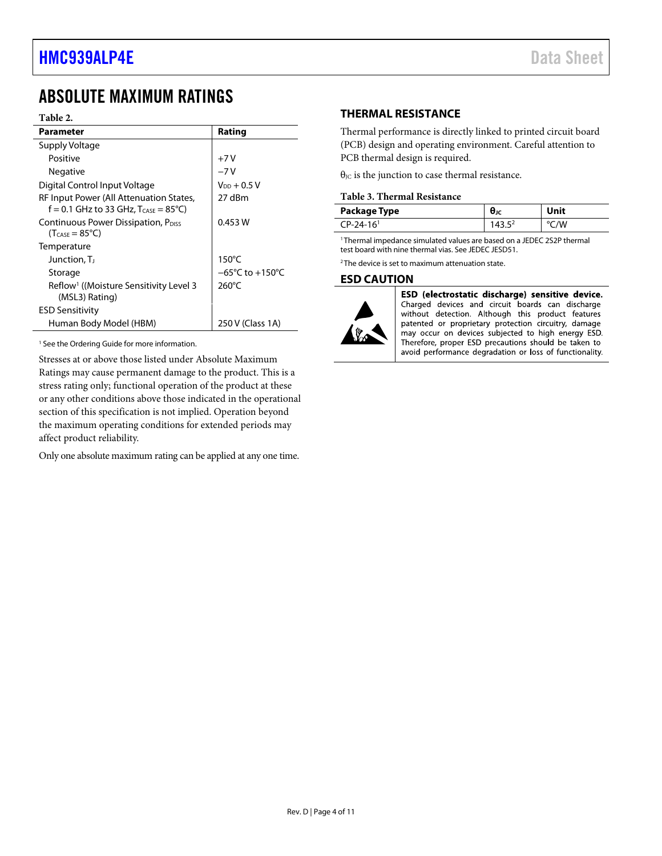### <span id="page-3-0"></span>ABSOLUTE MAXIMUM RATINGS

#### **Table 2.**

| Parameter                                                                                           | Rating                              |
|-----------------------------------------------------------------------------------------------------|-------------------------------------|
| Supply Voltage                                                                                      |                                     |
| Positive                                                                                            | $+7V$                               |
| <b>Negative</b>                                                                                     | $-7V$                               |
| Digital Control Input Voltage                                                                       | $V_{DD} + 0.5 V$                    |
| RF Input Power (All Attenuation States,<br>f = 0.1 GHz to 33 GHz, $T_{\text{CASE}} = 85^{\circ}C$ ) | 27 dBm                              |
| Continuous Power Dissipation, P <sub>DISS</sub><br>$(T_{\text{CASE}} = 85^{\circ}\text{C})$         | 0.453 W                             |
| Temperature                                                                                         |                                     |
| Junction, T                                                                                         | $150^{\circ}$ C                     |
| Storage                                                                                             | $-65^{\circ}$ C to $+150^{\circ}$ C |
| Reflow <sup>1</sup> ((Moisture Sensitivity Level 3<br>(MSL3) Rating)                                | $260^{\circ}$ C                     |
| <b>ESD Sensitivity</b>                                                                              |                                     |
| Human Body Model (HBM)                                                                              | 250 V (Class 1A)                    |

<sup>1</sup> See th[e Ordering Guide](#page-10-1) for more information.

Stresses at or above those listed under Absolute Maximum Ratings may cause permanent damage to the product. This is a stress rating only; functional operation of the product at these or any other conditions above those indicated in the operational section of this specification is not implied. Operation beyond the maximum operating conditions for extended periods may affect product reliability.

Only one absolute maximum rating can be applied at any one time.

### <span id="page-3-1"></span>**THERMAL RESISTANCE**

Thermal performance is directly linked to printed circuit board (PCB) design and operating environment. Careful attention to PCB thermal design is required.

 $\theta_{\text{JC}}$  is the junction to case thermal resistance.

#### **Table 3. Thermal Resistance**

| Package Type            | Unit |
|-------------------------|------|
| $CP-24-16$ <sup>1</sup> | /V   |

1 Thermal impedance simulated values are based on a JEDEC 2S2P thermal test board with nine thermal vias. See JEDEC JESD51.

<sup>2</sup> The device is set to maximum attenuation state.

### <span id="page-3-2"></span>**ESD CAUTION**



ESD (electrostatic discharge) sensitive device. Charged devices and circuit boards can discharge without detection. Although this product features patented or proprietary protection circuitry, damage may occur on devices subjected to high energy ESD. Therefore, proper ESD precautions should be taken to avoid performance degradation or loss of functionality.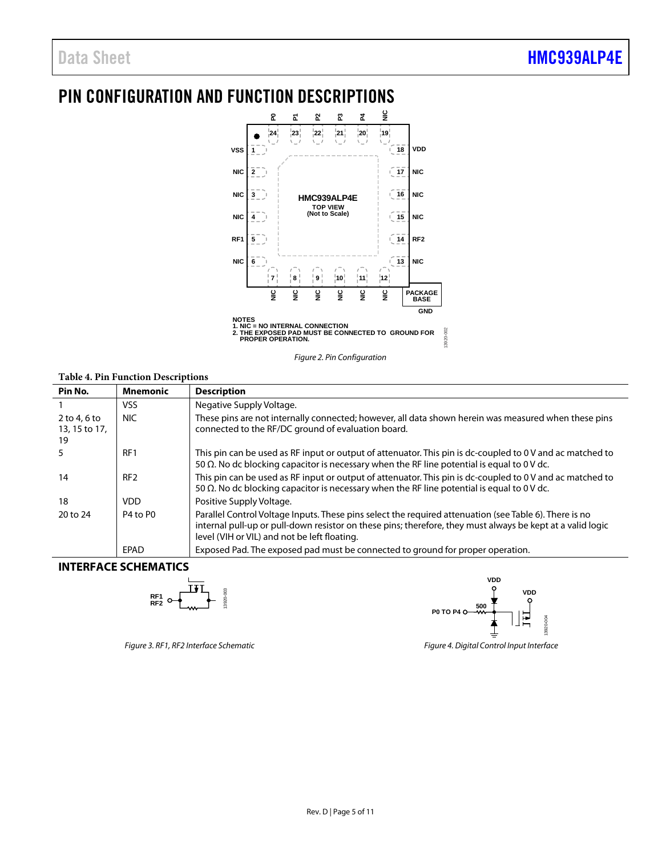## <span id="page-4-0"></span>PIN CONFIGURATION AND FUNCTION DESCRIPTIONS



*Figure 2. Pin Configuration* 

### **Table 4. Pin Function Descriptions**

| Pin No.                               | <b>Mnemonic</b> | <b>Description</b>                                                                                                                                                                                                                                                   |
|---------------------------------------|-----------------|----------------------------------------------------------------------------------------------------------------------------------------------------------------------------------------------------------------------------------------------------------------------|
|                                       | VSS.            | Negative Supply Voltage.                                                                                                                                                                                                                                             |
| $2$ to 4, 6 to<br>13, 15 to 17,<br>19 | NIC.            | These pins are not internally connected; however, all data shown herein was measured when these pins<br>connected to the RF/DC ground of evaluation board.                                                                                                           |
|                                       | RF <sub>1</sub> | This pin can be used as RF input or output of attenuator. This pin is dc-coupled to 0 V and ac matched to<br>50 $\Omega$ . No dc blocking capacitor is necessary when the RF line potential is equal to 0 V dc.                                                      |
| 14                                    | RF <sub>2</sub> | This pin can be used as RF input or output of attenuator. This pin is dc-coupled to 0V and ac matched to<br>50 $\Omega$ . No dc blocking capacitor is necessary when the RF line potential is equal to 0 V dc.                                                       |
| 18                                    | VDD.            | Positive Supply Voltage.                                                                                                                                                                                                                                             |
| 20 to 24                              | P4 to P0        | Parallel Control Voltage Inputs. These pins select the required attenuation (see Table 6). There is no<br>internal pull-up or pull-down resistor on these pins; therefore, they must always be kept at a valid logic<br>level (VIH or VIL) and not be left floating. |
|                                       | EPAD            | Exposed Pad. The exposed pad must be connected to ground for proper operation.                                                                                                                                                                                       |

### <span id="page-4-1"></span>**INTERFACE SCHEMATICS**





*Figure 3. RF1, RF2 Interface Schematic Figure 4. Digital Control Input Interface*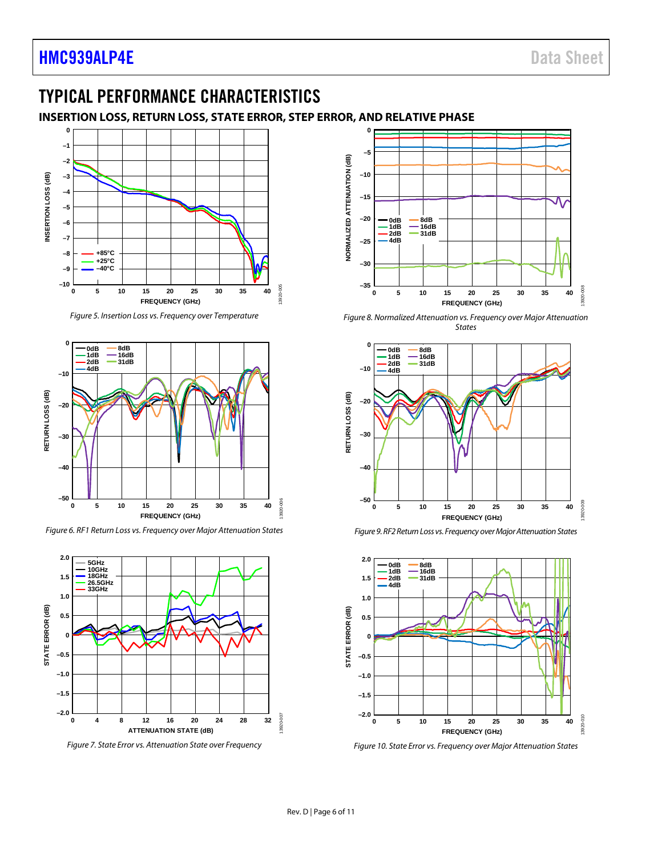### <span id="page-5-0"></span>TYPICAL PERFORMANCE CHARACTERISTICS

### <span id="page-5-1"></span>**INSERTION LOSS, RETURN LOSS, STATE ERROR, STEP ERROR, AND RELATIVE PHASE**



*Figure 5. Insertion Loss vs. Frequency over Temperature*



*Figure 6. RF1 Return Loss vs. Frequency over Major Attenuation States*



*Figure 7. State Error vs. Attenuation State over Frequency* 



*Figure 8. Normalized Attenuation vs. Frequency over Major Attenuation States*







*Figure 10. State Error vs. Frequency over Major Attenuation States*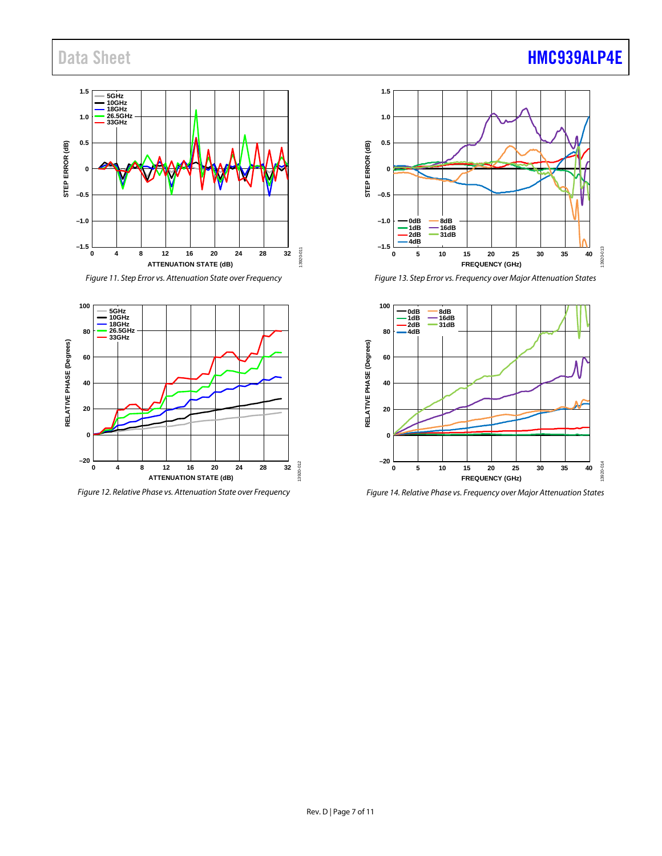### Data Sheet **[HMC939ALP4E](http://www.analog.com/HMC939ALP4E?doc=HMC939ALP4E.pdf)**



*Figure 11. Step Error vs. Attenuation State over Frequency* 



*Figure 12. Relative Phase vs. Attenuation State over Frequency*



*Figure 13. Step Error vs. Frequency over Major Attenuation States*



*Figure 14. Relative Phase vs. Frequency over Major Attenuation States*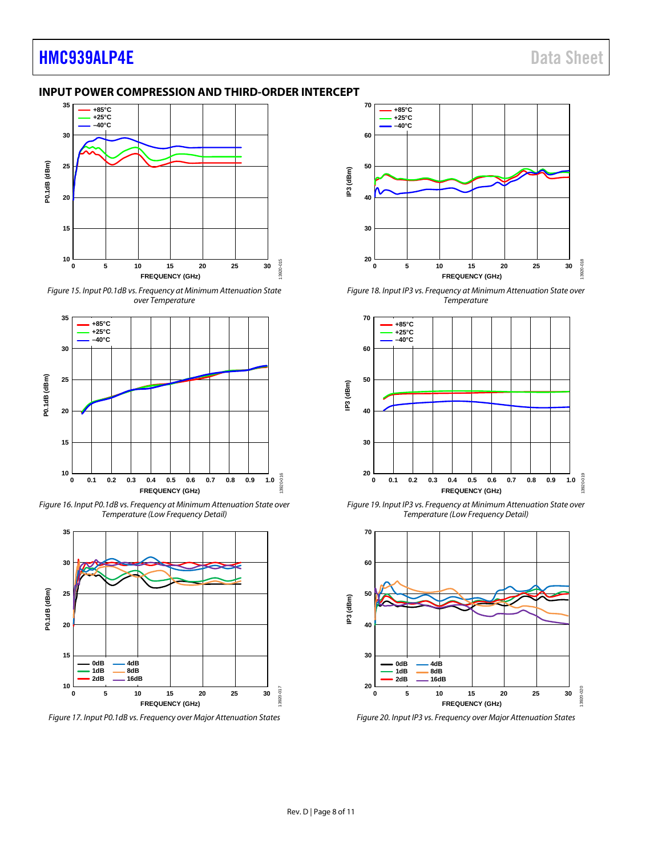### **[HMC939ALP4E](http://www.analog.com/HMC939ALP4E?doc=HMC939ALP4E.pdf)** Data Sheet

### <span id="page-7-0"></span>**INPUT POWER COMPRESSION AND THIRD-ORDER INTERCEPT**



*Figure 15. Input P0.1dB vs. Frequency at Minimum Attenuation State over Temperature*



*Figure 16. Input P0.1dB vs. Frequency at Minimum Attenuation State over Temperature (Low Frequency Detail)*



*Figure 17. Input P0.1dB vs. Frequency over Major Attenuation States*



*Figure 18. Input IP3 vs. Frequency at Minimum Attenuation State over Temperature*



*Figure 19. Input IP3 vs. Frequency at Minimum Attenuation State over Temperature (Low Frequency Detail)*



*Figure 20. Input IP3 vs. Frequency over Major Attenuation States*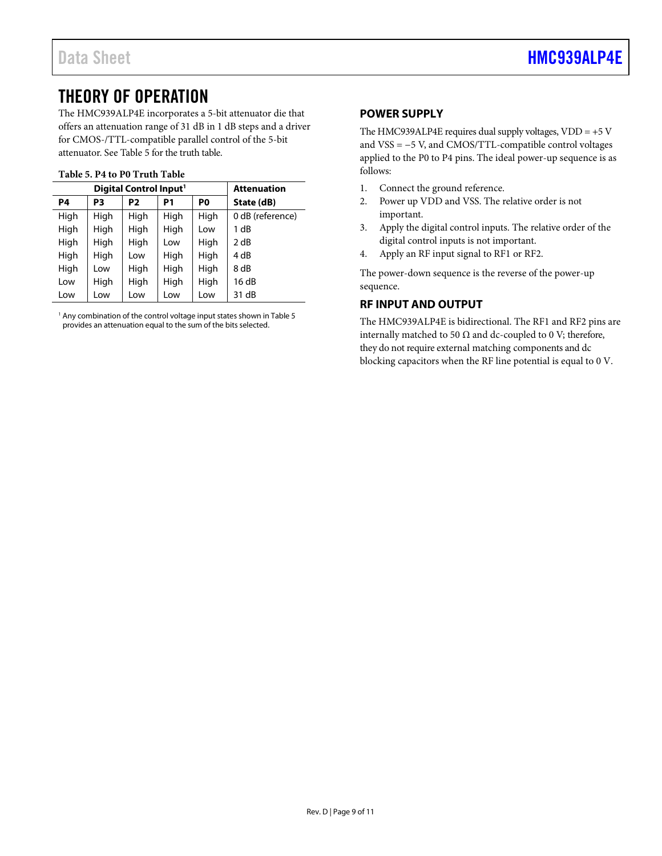### <span id="page-8-0"></span>THEORY OF OPERATION

The HMC939ALP4E incorporates a 5-bit attenuator die that offers an attenuation range of 31 dB in 1 dB steps and a driver for CMOS-/TTL-compatible parallel control of the 5-bit attenuator. Se[e Table 5](#page-8-3) for the truth table.

### <span id="page-8-3"></span>**Table 5. P4 to P0 Truth Table**

| Digital Control Input <sup>1</sup> |      |      |      |      | <b>Attenuation</b> |
|------------------------------------|------|------|------|------|--------------------|
| P4                                 | P3   | P2   | P1   | P0   | State (dB)         |
| High                               | High | High | High | High | 0 dB (reference)   |
| High                               | High | High | High | Low  | 1 dB               |
| High                               | High | High | Low  | High | 2 dB               |
| High                               | High | Low  | High | High | 4 dB               |
| High                               | Low  | High | High | High | 8 dB               |
| Low                                | High | High | High | High | 16dB               |
| Low                                | Low  | Low  | Low  | Low  | 31 dB              |

<sup>1</sup> Any combination of the control voltage input states shown i[n Table 5](#page-8-3) provides an attenuation equal to the sum of the bits selected.

### <span id="page-8-1"></span>**POWER SUPPLY**

The HMC939ALP4E requires dual supply voltages,  $VDD = +5 V$ and VSS = −5 V, and CMOS/TTL-compatible control voltages applied to the P0 to P4 pins. The ideal power-up sequence is as follows:

- 1. Connect the ground reference.
- 2. Power up VDD and VSS. The relative order is not important.
- 3. Apply the digital control inputs. The relative order of the digital control inputs is not important.
- 4. Apply an RF input signal to RF1 or RF2.

The power-down sequence is the reverse of the power-up sequence.

### <span id="page-8-2"></span>**RF INPUT AND OUTPUT**

The HMC939ALP4E is bidirectional. The RF1 and RF2 pins are internally matched to 50  $\Omega$  and dc-coupled to 0 V; therefore, they do not require external matching components and dc blocking capacitors when the RF line potential is equal to 0 V.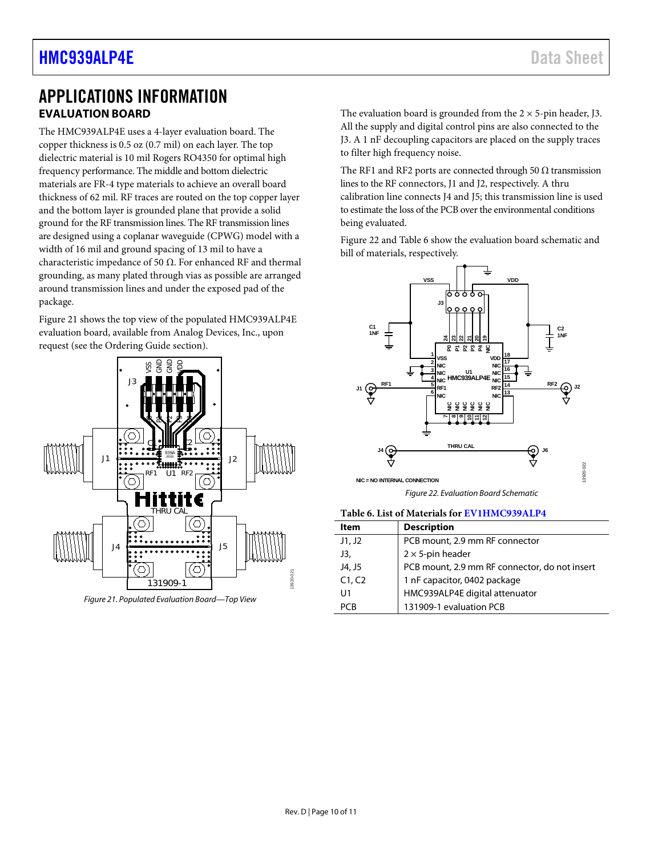### <span id="page-9-0"></span>APPLICATIONS INFORMATION **EVALUATION BOARD**

<span id="page-9-1"></span>The HMC939ALP4E uses a 4-layer evaluation board. The copper thickness is 0.5 oz (0.7 mil) on each layer. The top dielectric material is 10 mil Rogers RO4350 for optimal high frequency performance. The middle and bottom dielectric materials are FR-4 type materials to achieve an overall board thickness of 62 mil. RF traces are routed on the top copper layer and the bottom layer is grounded plane that provide a solid ground for the RF transmission lines. The RF transmission lines are designed using a coplanar waveguide (CPWG) model with a width of 16 mil and ground spacing of 13 mil to have a characteristic impedance of 50 Ω. For enhanced RF and thermal grounding, as many plated through vias as possible are arranged around transmission lines and under the exposed pad of the package.

[Figure 21](#page-9-3) shows the top view of the populated HMC939ALP4E evaluation board, available from Analog Devices, Inc., upon request (see the [Ordering Guide](#page-10-1) section).



<span id="page-9-3"></span>*Figure 21. Populated Evaluation Board—Top View*

The evaluation board is grounded from the  $2 \times 5$ -pin header, J3. All the supply and digital control pins are also connected to the J3. A 1 nF decoupling capacitors are placed on the supply traces to filter high frequency noise.

The RF1 and RF2 ports are connected through 50  $\Omega$  transmission lines to the RF connectors, J1 and J2, respectively. A thru calibration line connects J4 and J5; this transmission line is used to estimate the loss of the PCB over the environmental conditions being evaluated.

[Figure 22](#page-9-4) an[d Table 6](#page-9-2) show the evaluation board schematic and bill of materials, respectively.



*Figure 22. Evaluation Board Schematic*

#### <span id="page-9-4"></span><span id="page-9-2"></span>**Table 6. List of Materials fo[r EV1HMC939ALP4](http://www.analog.com/EVAL-HMC939ALP4?doc=HMC939ALP4E.pdf)**

| Item   | <b>Description</b>                            |
|--------|-----------------------------------------------|
| J1, J2 | PCB mount, 2.9 mm RF connector                |
| J3,    | $2 \times 5$ -pin header                      |
| J4, J5 | PCB mount, 2.9 mm RF connector, do not insert |
| C1, C2 | 1 nF capacitor, 0402 package                  |
| U1     | HMC939ALP4E digital attenuator                |
| PCR    | 131909-1 evaluation PCB                       |